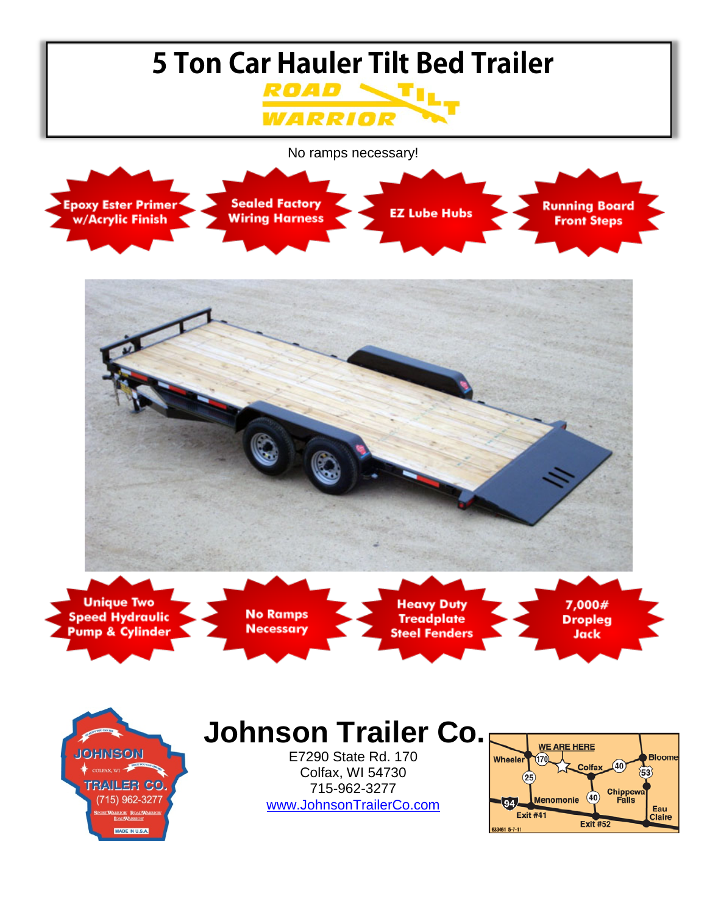